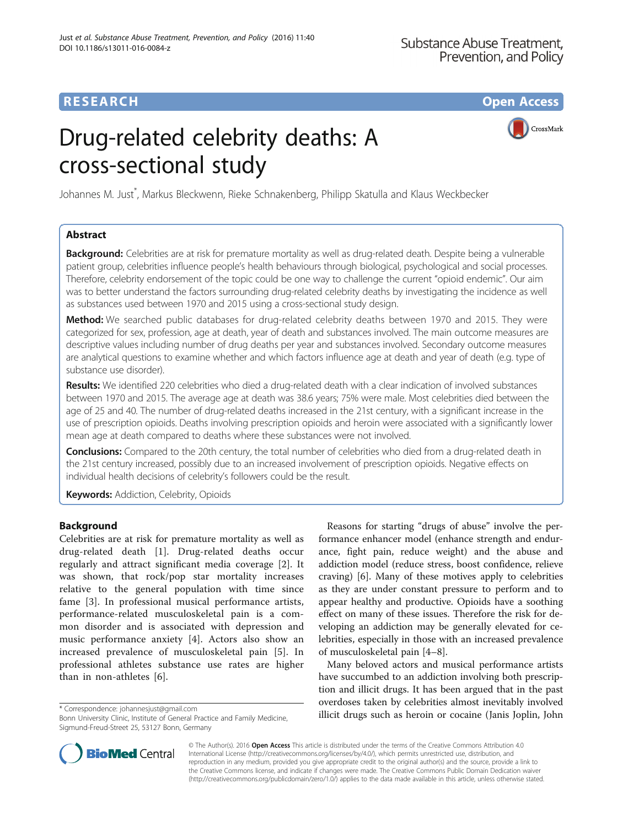## **RESEARCH CHILD CONTROL** CONTROL CONTROL CONTROL CONTROL CONTROL CONTROL CONTROL CONTROL CONTROL CONTROL CONTROL CONTROL CONTROL CONTROL CONTROL CONTROL CONTROL CONTROL CONTROL CONTROL CONTROL CONTROL CONTROL CONTROL CONTR

CrossMark

# Drug-related celebrity deaths: A cross-sectional study

Johannes M. Just\* , Markus Bleckwenn, Rieke Schnakenberg, Philipp Skatulla and Klaus Weckbecker

## Abstract

Background: Celebrities are at risk for premature mortality as well as drug-related death. Despite being a vulnerable patient group, celebrities influence people's health behaviours through biological, psychological and social processes. Therefore, celebrity endorsement of the topic could be one way to challenge the current "opioid endemic". Our aim was to better understand the factors surrounding drug-related celebrity deaths by investigating the incidence as well as substances used between 1970 and 2015 using a cross-sectional study design.

Method: We searched public databases for drug-related celebrity deaths between 1970 and 2015. They were categorized for sex, profession, age at death, year of death and substances involved. The main outcome measures are descriptive values including number of drug deaths per year and substances involved. Secondary outcome measures are analytical questions to examine whether and which factors influence age at death and year of death (e.g. type of substance use disorder).

Results: We identified 220 celebrities who died a drug-related death with a clear indication of involved substances between 1970 and 2015. The average age at death was 38.6 years; 75% were male. Most celebrities died between the age of 25 and 40. The number of drug-related deaths increased in the 21st century, with a significant increase in the use of prescription opioids. Deaths involving prescription opioids and heroin were associated with a significantly lower mean age at death compared to deaths where these substances were not involved.

Conclusions: Compared to the 20th century, the total number of celebrities who died from a drug-related death in the 21st century increased, possibly due to an increased involvement of prescription opioids. Negative effects on individual health decisions of celebrity's followers could be the result.

**Keywords: Addiction, Celebrity, Opioids** 

## **Background**

Celebrities are at risk for premature mortality as well as drug-related death [\[1](#page-4-0)]. Drug-related deaths occur regularly and attract significant media coverage [\[2](#page-4-0)]. It was shown, that rock/pop star mortality increases relative to the general population with time since fame [[3\]](#page-4-0). In professional musical performance artists, performance-related musculoskeletal pain is a common disorder and is associated with depression and music performance anxiety [\[4](#page-4-0)]. Actors also show an increased prevalence of musculoskeletal pain [\[5](#page-5-0)]. In professional athletes substance use rates are higher than in non-athletes [\[6](#page-5-0)].

Reasons for starting "drugs of abuse" involve the performance enhancer model (enhance strength and endurance, fight pain, reduce weight) and the abuse and addiction model (reduce stress, boost confidence, relieve craving) [[6\]](#page-5-0). Many of these motives apply to celebrities as they are under constant pressure to perform and to appear healthy and productive. Opioids have a soothing effect on many of these issues. Therefore the risk for developing an addiction may be generally elevated for celebrities, especially in those with an increased prevalence of musculoskeletal pain [\[4](#page-4-0)–[8\]](#page-5-0).

Many beloved actors and musical performance artists have succumbed to an addiction involving both prescription and illicit drugs. It has been argued that in the past overdoses taken by celebrities almost inevitably involved illicit drugs such as heroin or cocaine (Janis Joplin, John \* Correspondence: [johannesjust@gmail.com](mailto:johannesjust@gmail.com)



© The Author(s). 2016 Open Access This article is distributed under the terms of the Creative Commons Attribution 4.0 International License [\(http://creativecommons.org/licenses/by/4.0/](http://creativecommons.org/licenses/by/4.0/)), which permits unrestricted use, distribution, and reproduction in any medium, provided you give appropriate credit to the original author(s) and the source, provide a link to the Creative Commons license, and indicate if changes were made. The Creative Commons Public Domain Dedication waiver [\(http://creativecommons.org/publicdomain/zero/1.0/](http://creativecommons.org/publicdomain/zero/1.0/)) applies to the data made available in this article, unless otherwise stated.

Bonn University Clinic, Institute of General Practice and Family Medicine, Sigmund-Freud-Street 25, 53127 Bonn, Germany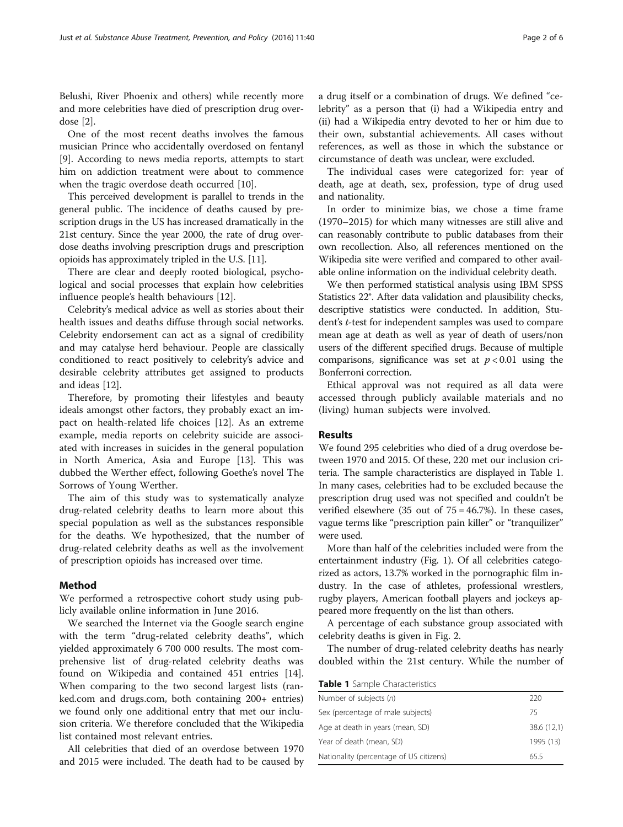Belushi, River Phoenix and others) while recently more and more celebrities have died of prescription drug overdose [\[2](#page-4-0)].

One of the most recent deaths involves the famous musician Prince who accidentally overdosed on fentanyl [[9\]](#page-5-0). According to news media reports, attempts to start him on addiction treatment were about to commence when the tragic overdose death occurred [\[10\]](#page-5-0).

This perceived development is parallel to trends in the general public. The incidence of deaths caused by prescription drugs in the US has increased dramatically in the 21st century. Since the year 2000, the rate of drug overdose deaths involving prescription drugs and prescription opioids has approximately tripled in the U.S. [\[11\]](#page-5-0).

There are clear and deeply rooted biological, psychological and social processes that explain how celebrities influence people's health behaviours [\[12](#page-5-0)].

Celebrity's medical advice as well as stories about their health issues and deaths diffuse through social networks. Celebrity endorsement can act as a signal of credibility and may catalyse herd behaviour. People are classically conditioned to react positively to celebrity's advice and desirable celebrity attributes get assigned to products and ideas [\[12](#page-5-0)].

Therefore, by promoting their lifestyles and beauty ideals amongst other factors, they probably exact an impact on health-related life choices [[12](#page-5-0)]. As an extreme example, media reports on celebrity suicide are associated with increases in suicides in the general population in North America, Asia and Europe [[13](#page-5-0)]. This was dubbed the Werther effect, following Goethe's novel The Sorrows of Young Werther.

The aim of this study was to systematically analyze drug-related celebrity deaths to learn more about this special population as well as the substances responsible for the deaths. We hypothesized, that the number of drug-related celebrity deaths as well as the involvement of prescription opioids has increased over time.

#### Method

We performed a retrospective cohort study using publicly available online information in June 2016.

We searched the Internet via the Google search engine with the term "drug-related celebrity deaths", which yielded approximately 6 700 000 results. The most comprehensive list of drug-related celebrity deaths was found on Wikipedia and contained 451 entries [\[14](#page-5-0)]. When comparing to the two second largest lists (ranked.com and drugs.com, both containing 200+ entries) we found only one additional entry that met our inclusion criteria. We therefore concluded that the Wikipedia list contained most relevant entries.

All celebrities that died of an overdose between 1970 and 2015 were included. The death had to be caused by a drug itself or a combination of drugs. We defined "celebrity" as a person that (i) had a Wikipedia entry and (ii) had a Wikipedia entry devoted to her or him due to their own, substantial achievements. All cases without references, as well as those in which the substance or circumstance of death was unclear, were excluded.

The individual cases were categorized for: year of death, age at death, sex, profession, type of drug used and nationality.

In order to minimize bias, we chose a time frame (1970–2015) for which many witnesses are still alive and can reasonably contribute to public databases from their own recollection. Also, all references mentioned on the Wikipedia site were verified and compared to other available online information on the individual celebrity death.

We then performed statistical analysis using IBM SPSS Statistics 22®. After data validation and plausibility checks, descriptive statistics were conducted. In addition, Student's t-test for independent samples was used to compare mean age at death as well as year of death of users/non users of the different specified drugs. Because of multiple comparisons, significance was set at  $p < 0.01$  using the Bonferroni correction.

Ethical approval was not required as all data were accessed through publicly available materials and no (living) human subjects were involved.

#### Results

We found 295 celebrities who died of a drug overdose between 1970 and 2015. Of these, 220 met our inclusion criteria. The sample characteristics are displayed in Table 1. In many cases, celebrities had to be excluded because the prescription drug used was not specified and couldn't be verified elsewhere (35 out of 75 = 46.7%). In these cases, vague terms like "prescription pain killer" or "tranquilizer" were used.

More than half of the celebrities included were from the entertainment industry (Fig. [1](#page-2-0)). Of all celebrities categorized as actors, 13.7% worked in the pornographic film industry. In the case of athletes, professional wrestlers, rugby players, American football players and jockeys appeared more frequently on the list than others.

A percentage of each substance group associated with celebrity deaths is given in Fig. [2.](#page-2-0)

The number of drug-related celebrity deaths has nearly doubled within the 21st century. While the number of

Table 1 Sample Characteristics

| Number of subjects (n)                  | 220         |
|-----------------------------------------|-------------|
| Sex (percentage of male subjects)       | 75          |
| Age at death in years (mean, SD)        | 38.6 (12,1) |
| Year of death (mean, SD)                | 1995 (13)   |
| Nationality (percentage of US citizens) | 655         |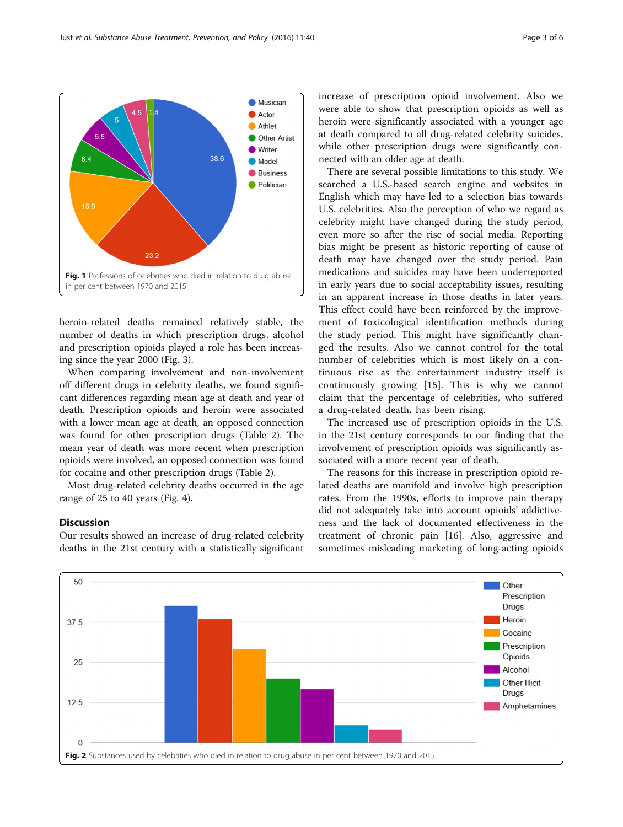

<span id="page-2-0"></span>

heroin-related deaths remained relatively stable, the number of deaths in which prescription drugs, alcohol and prescription opioids played a role has been increasing since the year 2000 (Fig. [3\)](#page-3-0).

When comparing involvement and non-involvement off different drugs in celebrity deaths, we found significant differences regarding mean age at death and year of death. Prescription opioids and heroin were associated with a lower mean age at death, an opposed connection was found for other prescription drugs (Table [2](#page-3-0)). The mean year of death was more recent when prescription opioids were involved, an opposed connection was found for cocaine and other prescription drugs (Table [2](#page-3-0)).

Most drug-related celebrity deaths occurred in the age range of 25 to 40 years (Fig. [4](#page-4-0)).

#### **Discussion**

Our results showed an increase of drug-related celebrity deaths in the 21st century with a statistically significant increase of prescription opioid involvement. Also we were able to show that prescription opioids as well as heroin were significantly associated with a younger age at death compared to all drug-related celebrity suicides, while other prescription drugs were significantly connected with an older age at death.

There are several possible limitations to this study. We searched a U.S.-based search engine and websites in English which may have led to a selection bias towards U.S. celebrities. Also the perception of who we regard as celebrity might have changed during the study period, even more so after the rise of social media. Reporting bias might be present as historic reporting of cause of death may have changed over the study period. Pain medications and suicides may have been underreported in early years due to social acceptability issues, resulting in an apparent increase in those deaths in later years. This effect could have been reinforced by the improvement of toxicological identification methods during the study period. This might have significantly changed the results. Also we cannot control for the total number of celebrities which is most likely on a continuous rise as the entertainment industry itself is continuously growing [\[15](#page-5-0)]. This is why we cannot claim that the percentage of celebrities, who suffered a drug-related death, has been rising.

The increased use of prescription opioids in the U.S. in the 21st century corresponds to our finding that the involvement of prescription opioids was significantly associated with a more recent year of death.

The reasons for this increase in prescription opioid related deaths are manifold and involve high prescription rates. From the 1990s, efforts to improve pain therapy did not adequately take into account opioids' addictiveness and the lack of documented effectiveness in the treatment of chronic pain [[16\]](#page-5-0). Also, aggressive and sometimes misleading marketing of long-acting opioids

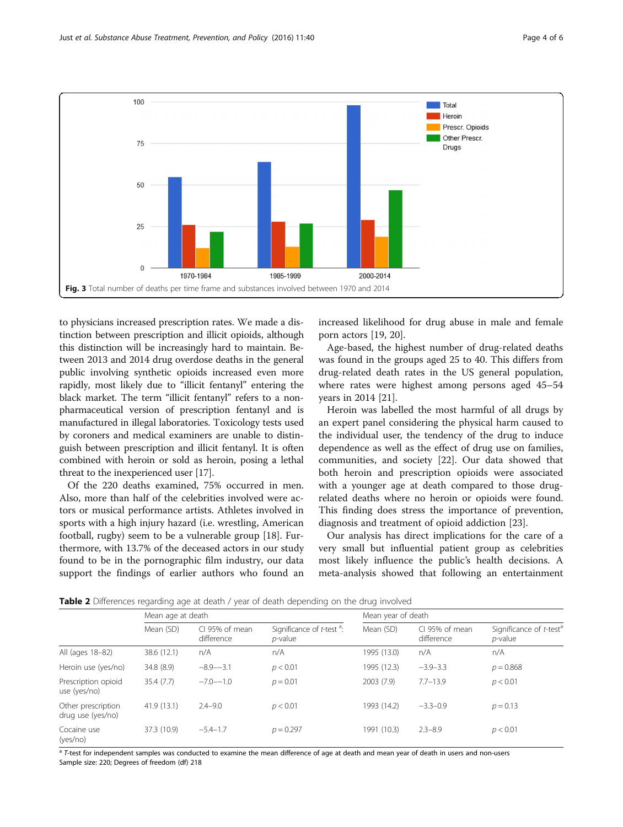<span id="page-3-0"></span>

to physicians increased prescription rates. We made a distinction between prescription and illicit opioids, although this distinction will be increasingly hard to maintain. Between 2013 and 2014 drug overdose deaths in the general public involving synthetic opioids increased even more rapidly, most likely due to "illicit fentanyl" entering the black market. The term "illicit fentanyl" refers to a nonpharmaceutical version of prescription fentanyl and is manufactured in illegal laboratories. Toxicology tests used by coroners and medical examiners are unable to distinguish between prescription and illicit fentanyl. It is often combined with heroin or sold as heroin, posing a lethal threat to the inexperienced user [[17](#page-5-0)].

Of the 220 deaths examined, 75% occurred in men. Also, more than half of the celebrities involved were actors or musical performance artists. Athletes involved in sports with a high injury hazard (i.e. wrestling, American football, rugby) seem to be a vulnerable group [[18](#page-5-0)]. Furthermore, with 13.7% of the deceased actors in our study found to be in the pornographic film industry, our data support the findings of earlier authors who found an

increased likelihood for drug abuse in male and female porn actors [[19, 20](#page-5-0)].

Age-based, the highest number of drug-related deaths was found in the groups aged 25 to 40. This differs from drug-related death rates in the US general population, where rates were highest among persons aged 45–54 years in 2014 [[21\]](#page-5-0).

Heroin was labelled the most harmful of all drugs by an expert panel considering the physical harm caused to the individual user, the tendency of the drug to induce dependence as well as the effect of drug use on families, communities, and society [[22\]](#page-5-0). Our data showed that both heroin and prescription opioids were associated with a younger age at death compared to those drugrelated deaths where no heroin or opioids were found. This finding does stress the importance of prevention, diagnosis and treatment of opioid addiction [[23\]](#page-5-0).

Our analysis has direct implications for the care of a very small but influential patient group as celebrities most likely influence the public's health decisions. A meta-analysis showed that following an entertainment

**Table 2** Differences regarding age at death / year of death depending on the drug involved

|                                         | Mean age at death |                             |                                               | Mean year of death |                              |                                                   |
|-----------------------------------------|-------------------|-----------------------------|-----------------------------------------------|--------------------|------------------------------|---------------------------------------------------|
|                                         | Mean (SD)         | CL95% of mean<br>difference | Significance of $t$ -test $a$ :<br>$p$ -value | Mean (SD)          | CI 95% of mean<br>difference | Significance of t-test <sup>a</sup><br>$p$ -value |
| All (ages 18-82)                        | 38.6 (12.1)       | n/A                         | n/A                                           | 1995 (13.0)        | n/A                          | n/A                                               |
| Heroin use (yes/no)                     | 34.8 (8.9)        | $-8.9 - -3.1$               | p < 0.01                                      | 1995 (12.3)        | $-3.9-3.3$                   | $p = 0.868$                                       |
| Prescription opioid<br>use (yes/no)     | 35.4(7.7)         | $-7.0 - -1.0$               | $p = 0.01$                                    | 2003 (7.9)         | $7.7 - 13.9$                 | p < 0.01                                          |
| Other prescription<br>drug use (yes/no) | 41.9(13.1)        | $2.4 - 9.0$                 | p < 0.01                                      | 1993 (14.2)        | $-3.3-0.9$                   | $p = 0.13$                                        |
| Cocaine use<br>(yes/no)                 | 37.3 (10.9)       | $-5.4-1.7$                  | $p = 0.297$                                   | 1991 (10.3)        | $2.3 - 8.9$                  | p < 0.01                                          |

 $a$  T-test for independent samples was conducted to examine the mean difference of age at death and mean year of death in users and non-users Sample size: 220; Degrees of freedom (df) 218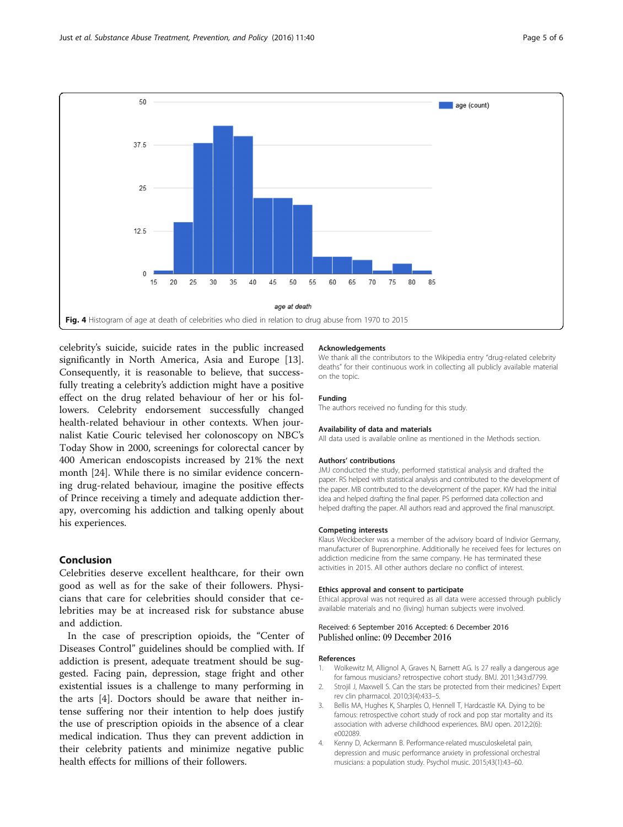<span id="page-4-0"></span>

celebrity's suicide, suicide rates in the public increased significantly in North America, Asia and Europe [\[13](#page-5-0)]. Consequently, it is reasonable to believe, that successfully treating a celebrity's addiction might have a positive effect on the drug related behaviour of her or his followers. Celebrity endorsement successfully changed health-related behaviour in other contexts. When journalist Katie Couric televised her colonoscopy on NBC's Today Show in 2000, screenings for colorectal cancer by 400 American endoscopists increased by 21% the next month [\[24](#page-5-0)]. While there is no similar evidence concerning drug-related behaviour, imagine the positive effects of Prince receiving a timely and adequate addiction therapy, overcoming his addiction and talking openly about his experiences.

### Conclusion

Celebrities deserve excellent healthcare, for their own good as well as for the sake of their followers. Physicians that care for celebrities should consider that celebrities may be at increased risk for substance abuse and addiction.

In the case of prescription opioids, the "Center of Diseases Control" guidelines should be complied with. If addiction is present, adequate treatment should be suggested. Facing pain, depression, stage fright and other existential issues is a challenge to many performing in the arts [4]. Doctors should be aware that neither intense suffering nor their intention to help does justify the use of prescription opioids in the absence of a clear medical indication. Thus they can prevent addiction in their celebrity patients and minimize negative public health effects for millions of their followers.

#### Acknowledgements

We thank all the contributors to the Wikipedia entry "drug-related celebrity deaths" for their continuous work in collecting all publicly available material on the topic.

#### Funding

The authors received no funding for this study.

#### Availability of data and materials

All data used is available online as mentioned in the Methods section.

#### Authors' contributions

JMJ conducted the study, performed statistical analysis and drafted the paper. RS helped with statistical analysis and contributed to the development of the paper. MB contributed to the development of the paper. KW had the initial idea and helped drafting the final paper. PS performed data collection and helped drafting the paper. All authors read and approved the final manuscript.

#### Competing interests

Klaus Weckbecker was a member of the advisory board of Indivior Germany, manufacturer of Buprenorphine. Additionally he received fees for lectures on addiction medicine from the same company. He has terminated these activities in 2015. All other authors declare no conflict of interest.

#### Ethics approval and consent to participate

Ethical approval was not required as all data were accessed through publicly available materials and no (living) human subjects were involved.

#### Received: 6 September 2016 Accepted: 6 December 2016 Published online: 09 December 2016

#### References

- 1. Wolkewitz M, Allignol A, Graves N, Barnett AG. Is 27 really a dangerous age for famous musicians? retrospective cohort study. BMJ. 2011;343:d7799.
- 2. Strojil J, Maxwell S. Can the stars be protected from their medicines? Expert rev clin pharmacol. 2010;3(4):433–5.
- 3. Bellis MA, Hughes K, Sharples O, Hennell T, Hardcastle KA. Dying to be famous: retrospective cohort study of rock and pop star mortality and its association with adverse childhood experiences. BMJ open. 2012;2(6): e002089.
- 4. Kenny D, Ackermann B. Performance-related musculoskeletal pain, depression and music performance anxiety in professional orchestral musicians: a population study. Psychol music. 2015;43(1):43–60.